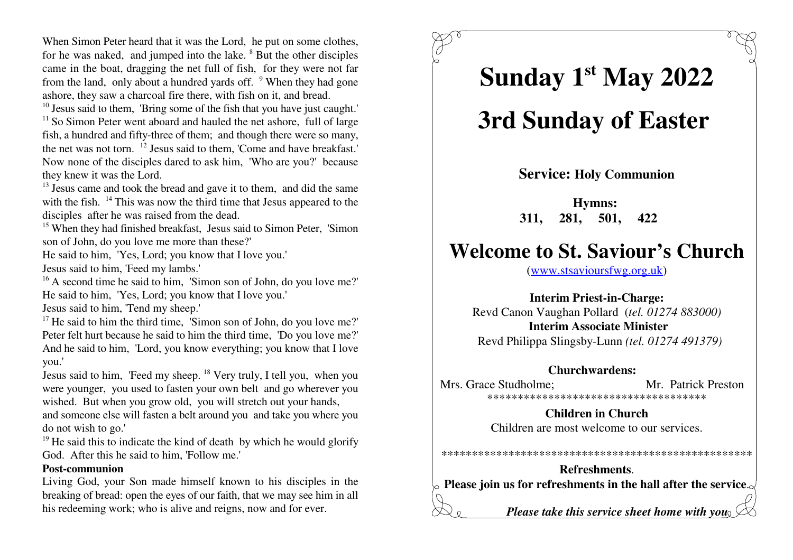When Simon Peter heard that it was the Lord, he put on some clothes, for he was naked, and jumped into the lake. <sup>8</sup> But the other disciples came in the boat, dragging the net full of fish, for they were not farfrom the land, only about a hundred yards off. <sup>9</sup> When they had gone ashore, they saw a charcoal fire there, with fish on it, and bread.

 $10$  Jesus said to them, 'Bring some of the fish that you have just caught.'

 $\frac{11}{11}$  So Simon Peter went aboard and hauled the net ashore, full of large fish, a hundred and fifty-three of them; and though there were so many,the net was not torn.  $^{12}$  Jesus said to them, 'Come and have breakfast.' Now none of the disciples dared to ask him, 'Who are you?' becausethey knew it was the Lord.

 $\mu$ <sup>13</sup> Jesus came and took the bread and gave it to them, and did the same with the fish.  $14$  This was now the third time that Jesus appeared to the disciples after he was raised from the dead.

<sup>15</sup> When they had finished breakfast, Jesus said to Simon Peter, 'Simon son of John, do you love me more than these?'

He said to him, 'Yes, Lord; you know that I love you.'

Jesus said to him, 'Feed my lambs.'

 $^{16}$  A second time he said to him, 'Simon son of John, do you love me?' He said to him, 'Yes, Lord; you know that I love you.'

Jesus said to him, 'Tend my sheep.'

<sup>17</sup> He said to him the third time, 'Simon son of John, do you love me?' Peter felt hurt because he said to him the third time, 'Do you love me?' And he said to him, 'Lord, you know everything; you know that I loveyou.'

Jesus said to him, 'Feed my sheep.<sup>18</sup> Very truly, I tell you, when you were younger, you used to fasten your own belt and go wherever youwished. But when you grow old, you will stretch out your hands,

 and someone else will fasten a belt around you and take you where youdo not wish to go.'

 $^{19}$  He said this to indicate the kind of death by which he would glorify God. After this he said to him, 'Follow me.'

#### **Post-communion**

 Living God, your Son made himself known to his disciples in the breaking of bread: open the eyes of our faith, that we may see him in allhis redeeming work; who is alive and reigns, now and for ever.

# **Sunday 1 May 2022 st**

## **3rd Sunday of Easter**

**Service: Holy Communion**

**Hymns: 311, 281, 501, 422** 

### **Welcome to St. Saviour's Church**

(www.stsavioursfwg.org.uk)

**Interim Priest-in-Charge:** Revd Canon Vaughan Pollard (*tel. 01274 883000)***Interim Associate Minister**Revd Philippa Slingsby-Lunn *(tel. 01274 491379)*

#### **Churchwardens:**

Mrs. Grace Studholme: Mr. Patrick Preston \*\*\*\*\*\*\*\*\*\*\*\*\*\*\*\*\*\*\*\*\*\*\*\*\*\*\*\*\*\*\*\*\*\*\*\*

> **Children in Church**Children are most welcome to our services.

\*\*\*\*\*\*\*\*\*\*\*\*\*\*\*\*\*\*\*\*\*\*\*\*\*\*\*\*\*\*\*\*\*\*\*\*\*\*\*\*\*\*\*\*\*\*\*\*\*\*\*

**Refreshments**.**Please join us for refreshments in the hall after the service**.

*Please take this service sheet home with you*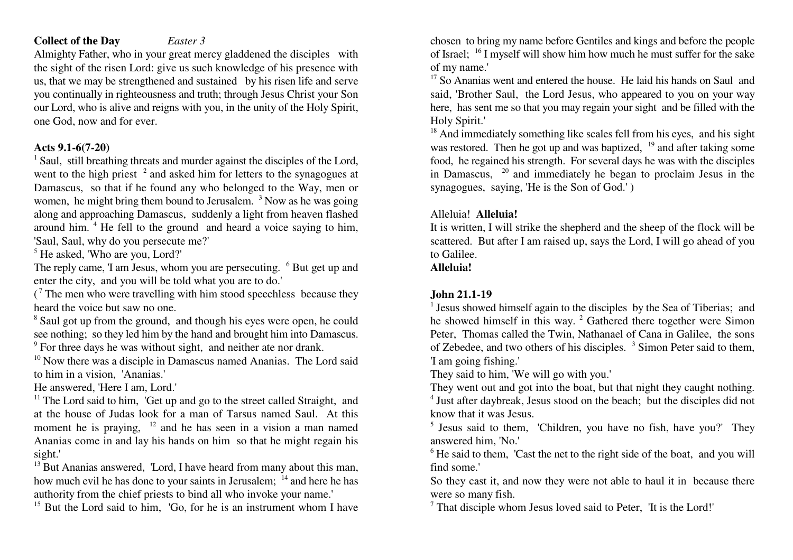#### **Collect of the Day***Easter 3*

Almighty Father, who in your great mercy gladdened the disciples with the sight of the risen Lord: give us such knowledge of his presence with us, that we may be strengthened and sustained by his risen life and serve you continually in righteousness and truth; through Jesus Christ your Son our Lord, who is alive and reigns with you, in the unity of the Holy Spirit,one God, now and for ever.

#### **Acts 9.1-6(7-20)**

 $<sup>1</sup>$  Saul, still breathing threats and murder against the disciples of the Lord,</sup> went to the high priest  $2$  and asked him for letters to the synagogues at Damascus, so that if he found any who belonged to the Way, men orwomen, he might bring them bound to Jerusalem.  $3$  Now as he was going along and approaching Damascus, suddenly a light from heaven flashed **Alleluia! Alleluia!** around him. <sup>4</sup> He fell to the ground and heard a voice saying to him, It is written, I will strike the shepherd and the sheep of the flock will be 'Saul, Saul, why do you persecute me?' scattered. But after I am raised up, says the Lord, I will go ahead of you4

 $<sup>5</sup>$  He asked, 'Who are you, Lord?' to Galilee.</sup>

The reply came, 'I am Jesus, whom you are persecuting. <sup>6</sup> But get up and enter the city, and you will be told what you are to do.'

( $7$  The men who were travelling with him stood speechless because they

8 see nothing; so they led him by the hand and brought him into Damascus.

9

 $10$  Now there was a disciple in Damascus named Ananias. The Lord said  $1$  am going fishing.' to him in a vision, 'Ananias.'

 $<sup>11</sup>$  The Lord said to him, 'Get up and go to the street called Straight, and</sup> at the house of Judas look for a man of Tarsus named Saul. At this know that it was Jesus. moment he is praying,  $12$  and he has seen in a vision a man named Ananias come in and lay his hands on him so that he might regain his answered him, 'No.'

 $^{13}$  But Ananias answered, 'Lord, I have heard from many about this man, find some.' how much evil he has done to your saints in Jerusalem; <sup>14</sup> and here he has authority from the chief priests to bind all who invoke your name.'<br><sup>15</sup> But the Lord said to him. 'Go, for he is an instrument whom I have

<sup>15</sup> But the Lord said to him, 'Go, for he is an instrument whom I have  $10^{-7}$  That disciple whom Jesus loved said to Peter, 'It is the Lord!'

chosen to bring my name before Gentiles and kings and before the peopleof Israel;  $\frac{16}{1}$  I myself will show him how much he must suffer for the sake of my name.'

 $^{17}$  So Ananias went and entered the house. He laid his hands on Saul and said, 'Brother Saul, the Lord Jesus, who appeared to you on your way here, has sent me so that you may regain your sight and be filled with theHoly Spirit.'

 $18$  And immediately something like scales fell from his eyes, and his sight was restored. Then he got up and was baptized,  $19$  and after taking some food, he regained his strength. For several days he was with the disciplesin Damascus,  $20$  and immediately he began to proclaim Jesus in the synagogues, saying, 'He is the Son of God.' )

### **Alleluia!**

#### **John 21.1-19**

heard the voice but saw no one.  $\frac{1}{1}$  Jesus showed himself again to the disciples by the Sea of Tiberias; and Saul got up from the ground, and though his eyes were open, he could he showed himself in this way. <sup>2</sup> Gathered there together were Simon Peter, Thomas called the Twin, Nathanael of Cana in Galilee, the sons For three days he was without sight, and neither ate nor drank. of Zebedee, and two others of his disciples. <sup>3</sup> Simon Peter said to them,

They said to him, 'We will go with you.'

He answered, 'Here I am, Lord.' They went out and got into the boat, but that night they caught nothing.The Lord said to him, 'Get up and go to the street called Straight, and <sup>4</sup> Just after daybreak, Jesus stood on the beach; but the disciples did not

 $12$  and he has seen in a vision a man named  $12$  subsets and to them, 'Children, you have no fish, have you?' The

sight.' <sup>6</sup> He said to them, 'Cast the net to the right side of the boat, and you will

So they cast it, and now they were not able to haul it in because there were so many fish.